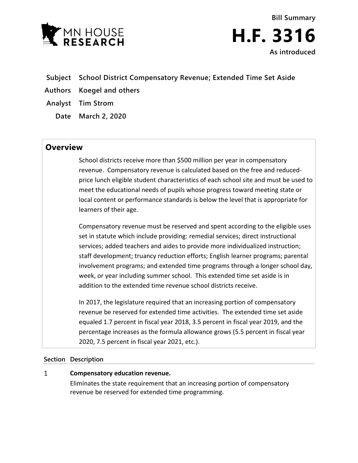



- **Subject School District Compensatory Revenue; Extended Time Set Aside**
- **Authors Koegel and others**
- **Analyst Tim Strom**
	- **Date March 2, 2020**

## **Overview**

School districts receive more than \$500 million per year in compensatory revenue. Compensatory revenue is calculated based on the free and reducedprice lunch eligible student characteristics of each school site and must be used to meet the educational needs of pupils whose progress toward meeting state or local content or performance standards is below the level that is appropriate for learners of their age.

Compensatory revenue must be reserved and spent according to the eligible uses set in statute which include providing: remedial services; direct instructional services; added teachers and aides to provide more individualized instruction; staff development; truancy reduction efforts; English learner programs; parental involvement programs; and extended time programs through a longer school day, week, or year including summer school. This extended time set aside is in addition to the extended time revenue school districts receive.

In 2017, the legislature required that an increasing portion of compensatory revenue be reserved for extended time activities. The extended time set aside equaled 1.7 percent in fiscal year 2018, 3.5 percent in fiscal year 2019, and the percentage increases as the formula allowance grows (5.5 percent in fiscal year 2020, 7.5 percent in fiscal year 2021, etc.).

## **Section Description**

## $\mathbf{1}$ **Compensatory education revenue.**

Eliminates the state requirement that an increasing portion of compensatory revenue be reserved for extended time programming.